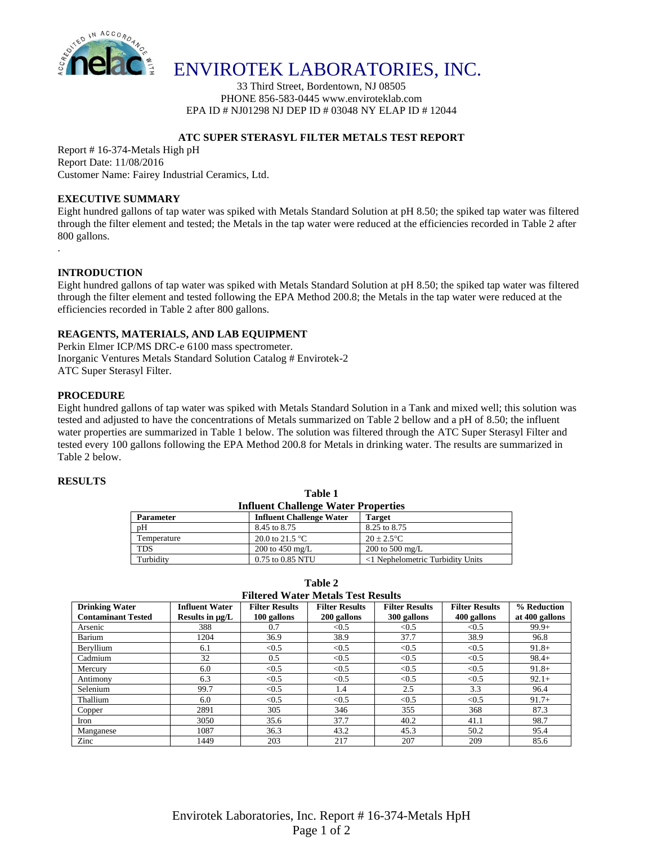

## ENVIROTEK LABORATORIES, INC.

33 Third Street, Bordentown, NJ 08505 PHONE 856-583-0445 www.enviroteklab.com EPA ID # NJ01298 NJ DEP ID # 03048 NY ELAP ID # 12044

### **ATC SUPER STERASYL FILTER METALS TEST REPORT**

Report # 16-374-Metals High pH Report Date: 11/08/2016 Customer Name: Fairey Industrial Ceramics, Ltd.

#### **EXECUTIVE SUMMARY**

Eight hundred gallons of tap water was spiked with Metals Standard Solution at pH 8.50; the spiked tap water was filtered through the filter element and tested; the Metals in the tap water were reduced at the efficiencies recorded in Table 2 after 800 gallons.

### **INTRODUCTION**

.

Eight hundred gallons of tap water was spiked with Metals Standard Solution at pH 8.50; the spiked tap water was filtered through the filter element and tested following the EPA Method 200.8; the Metals in the tap water were reduced at the efficiencies recorded in Table 2 after 800 gallons.

#### **REAGENTS, MATERIALS, AND LAB EQUIPMENT**

Perkin Elmer ICP/MS DRC-e 6100 mass spectrometer. Inorganic Ventures Metals Standard Solution Catalog # Envirotek-2 ATC Super Sterasyl Filter.

#### **PROCEDURE**

Eight hundred gallons of tap water was spiked with Metals Standard Solution in a Tank and mixed well; this solution was tested and adjusted to have the concentrations of Metals summarized on Table 2 bellow and a pH of 8.50; the influent water properties are summarized in Table 1 below. The solution was filtered through the ATC Super Sterasyl Filter and tested every 100 gallons following the EPA Method 200.8 for Metals in drinking water. The results are summarized in Table 2 below.

#### **RESULTS**

| <b>Influent Challenge Water Properties</b> |                                 |                                  |  |  |  |  |
|--------------------------------------------|---------------------------------|----------------------------------|--|--|--|--|
| <b>Parameter</b>                           | <b>Influent Challenge Water</b> | <b>Target</b>                    |  |  |  |  |
| pH                                         | 8.45 to 8.75                    | 8.25 to 8.75                     |  |  |  |  |
| Temperature                                | 20.0 to 21.5 $^{\circ}$ C       | $20 + 2.5$ °C                    |  |  |  |  |
| TDS                                        | 200 to 450 mg/L                 | 200 to 500 mg/L                  |  |  |  |  |
| Turbidity                                  | 0.75 to 0.85 NTU                | <1 Nephelometric Turbidity Units |  |  |  |  |

**Table 1**

**Table 2 Filtered Water Metals Test Results**

| riitered water metais Test Resuits                 |                                               |                                      |                                      |                                      |                                      |                               |  |  |  |  |
|----------------------------------------------------|-----------------------------------------------|--------------------------------------|--------------------------------------|--------------------------------------|--------------------------------------|-------------------------------|--|--|--|--|
| <b>Drinking Water</b><br><b>Contaminant Tested</b> | <b>Influent Water</b><br>Results in $\mu$ g/L | <b>Filter Results</b><br>100 gallons | <b>Filter Results</b><br>200 gallons | <b>Filter Results</b><br>300 gallons | <b>Filter Results</b><br>400 gallons | % Reduction<br>at 400 gallons |  |  |  |  |
| Arsenic                                            | 388                                           | 0.7                                  | < 0.5                                | < 0.5                                | < 0.5                                | $99.9+$                       |  |  |  |  |
| Barium                                             | 1204                                          | 36.9                                 | 38.9                                 | 37.7                                 | 38.9                                 | 96.8                          |  |  |  |  |
| Beryllium                                          | 6.1                                           | < 0.5                                | < 0.5                                | < 0.5                                | < 0.5                                | $91.8+$                       |  |  |  |  |
| Cadmium                                            | 32                                            | 0.5                                  | < 0.5                                | < 0.5                                | < 0.5                                | $98.4+$                       |  |  |  |  |
| Mercury                                            | 6.0                                           | < 0.5                                | < 0.5                                | < 0.5                                | < 0.5                                | $91.8+$                       |  |  |  |  |
| Antimony                                           | 6.3                                           | < 0.5                                | < 0.5                                | < 0.5                                | < 0.5                                | $92.1+$                       |  |  |  |  |
| Selenium                                           | 99.7                                          | < 0.5                                | 1.4                                  | 2.5                                  | 3.3                                  | 96.4                          |  |  |  |  |
| Thallium                                           | 6.0                                           | < 0.5                                | < 0.5                                | < 0.5                                | < 0.5                                | $91.7+$                       |  |  |  |  |
| Copper                                             | 2891                                          | 305                                  | 346                                  | 355                                  | 368                                  | 87.3                          |  |  |  |  |
| Iron                                               | 3050                                          | 35.6                                 | 37.7                                 | 40.2                                 | 41.1                                 | 98.7                          |  |  |  |  |
| Manganese                                          | 1087                                          | 36.3                                 | 43.2                                 | 45.3                                 | 50.2                                 | 95.4                          |  |  |  |  |
| Zinc                                               | 1449                                          | 203                                  | 217                                  | 207                                  | 209                                  | 85.6                          |  |  |  |  |